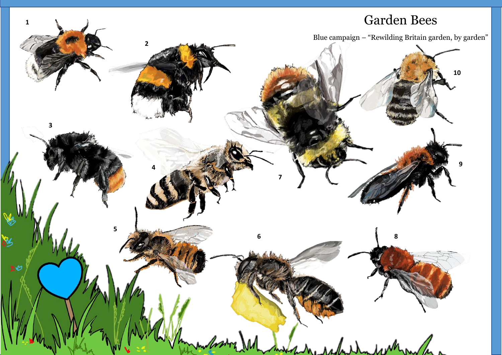